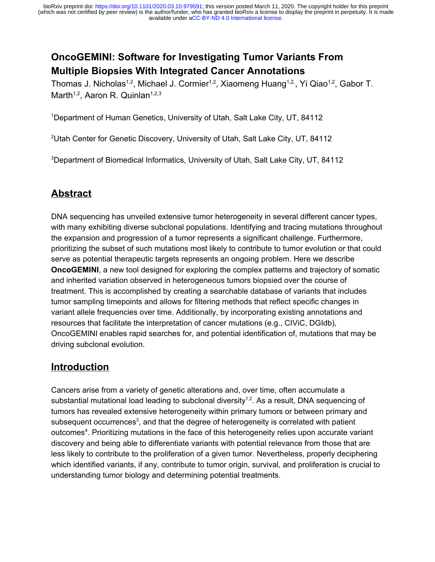# **OncoGEMINI: Software for Investigating Tumor Variants From Multiple Biopsies With Integrated Cancer Annotations**

Thomas J. Nicholas<sup>1,2</sup>, Michael J. Cormier<sup>1,2</sup>, Xiaomeng Huang<sup>1,2,</sup>, Yi Qiao<sup>1,2</sup>, Gabor T. Marth<sup>1,2</sup>, Aaron R. Quinlan<sup>1,2,3</sup>

<sup>1</sup>Department of Human Genetics, University of Utah, Salt Lake City, UT, 84112

<sup>2</sup>Utah Center for Genetic Discovery, University of Utah, Salt Lake City, UT, 84112

<sup>3</sup>Department of Biomedical Informatics, University of Utah, Salt Lake City, UT, 84112

# **Abstract**

DNA sequencing has unveiled extensive tumor heterogeneity in several different cancer types, with many exhibiting diverse subclonal populations. Identifying and tracing mutations throughout the expansion and progression of a tumor represents a significant challenge. Furthermore, prioritizing the subset of such mutations most likely to contribute to tumor evolution or that could serve as potential therapeutic targets represents an ongoing problem. Here we describe **OncoGEMINI**, a new tool designed for exploring the complex patterns and trajectory of somatic and inherited variation observed in heterogeneous tumors biopsied over the course of treatment. This is accomplished by creating a searchable database of variants that includes tumor sampling timepoints and allows for filtering methods that reflect specific changes in variant allele frequencies over time. Additionally, by incorporating existing annotations and resources that facilitate the interpretation of cancer mutations (e.g., CIViC, DGIdb), OncoGEMINI enables rapid searches for, and potential identification of, mutations that may be driving subclonal evolution.

## **Introduction**

Cancers arise from a variety of genetic alterations and, over time, often accumulate a substantial mutational load leading to subclonal diversity<sup>[1,2](https://www.zotero.org/google-docs/?su3Aq7)</sup>. As a result, DNA sequencing of tumors has revealed extensive heterogeneity within primary tumors or between primary and subsequent occurrences<sup>[3](https://www.zotero.org/google-docs/?1iQ7IW)</sup>, and that the degree of heterogeneity is correlated with patient outcomes<sup>[4](https://www.zotero.org/google-docs/?gwGkSt)</sup>. Prioritizing mutations in the face of this heterogeneity relies upon accurate variant discovery and being able to differentiate variants with potential relevance from those that are less likely to contribute to the proliferation of a given tumor. Nevertheless, properly deciphering which identified variants, if any, contribute to tumor origin, survival, and proliferation is crucial to understanding tumor biology and determining potential treatments.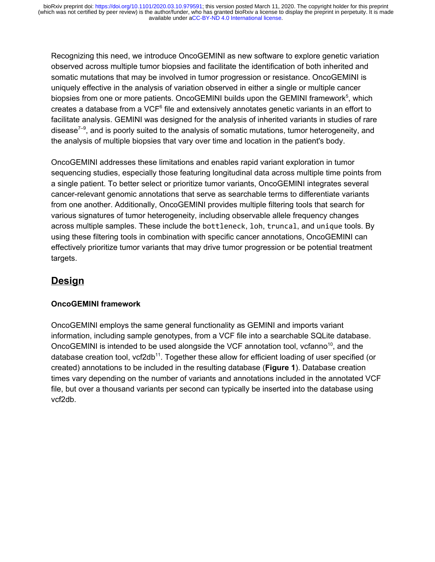available under [aCC-BY-ND 4.0 International license.](http://creativecommons.org/licenses/by-nd/4.0/) (which was not certified by peer review) is the author/funder, who has granted bioRxiv a license to display the preprint in perpetuity. It is made bioRxiv preprint doi: [https://doi.org/10.1101/2020.03.10.979591;](https://doi.org/10.1101/2020.03.10.979591) this version posted March 11, 2020. The copyright holder for this preprint

Recognizing this need, we introduce OncoGEMINI as new software to explore genetic variation observed across multiple tumor biopsies and facilitate the identification of both inherited and somatic mutations that may be involved in tumor progression or resistance. OncoGEMINI is uniquely effective in the analysis of variation observed in either a single or multiple cancer biopsies from one or more patients. OncoGEMINI builds upon the GEMINI framework<sup>[5](https://www.zotero.org/google-docs/?LoTICU)</sup>, which creates a database from a VCF $6$  file and extensively annotates genetic variants in an effort to facilitate analysis. GEMINI was designed for the analysis of inherited variants in studies of rare disease<sup> $7-9$ </sup>, and is poorly suited to the analysis of somatic mutations, tumor heterogeneity, and the analysis of multiple biopsies that vary over time and location in the patient's body.

OncoGEMINI addresses these limitations and enables rapid variant exploration in tumor sequencing studies, especially those featuring longitudinal data across multiple time points from a single patient. To better select or prioritize tumor variants, OncoGEMINI integrates several cancer-relevant genomic annotations that serve as searchable terms to differentiate variants from one another. Additionally, OncoGEMINI provides multiple filtering tools that search for various signatures of tumor heterogeneity, including observable allele frequency changes across multiple samples. These include the bottleneck, loh, truncal, and unique tools. By using these filtering tools in combination with specific cancer annotations, OncoGEMINI can effectively prioritize tumor variants that may drive tumor progression or be potential treatment targets.

## **Design**

## **OncoGEMINI framework**

OncoGEMINI employs the same general functionality as GEMINI and imports variant information, including sample genotypes, from a VCF file into a searchable SQLite database. OncoGEMINI is intended to be used alongside the VCF annotation tool, vcfanno<sup>[10](https://www.zotero.org/google-docs/?yzuydO)</sup>, and the database creation tool,  $vcf2db^{11}$  $vcf2db^{11}$  $vcf2db^{11}$ . Together these allow for efficient loading of user specified (or created) annotations to be included in the resulting database (**Figure 1**). Database creation times vary depending on the number of variants and annotations included in the annotated VCF file, but over a thousand variants per second can typically be inserted into the database using vcf2db.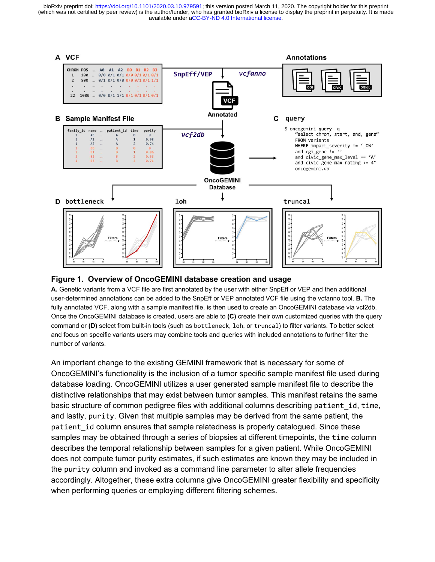available under [aCC-BY-ND 4.0 International license.](http://creativecommons.org/licenses/by-nd/4.0/) (which was not certified by peer review) is the author/funder, who has granted bioRxiv a license to display the preprint in perpetuity. It is made bioRxiv preprint doi: [https://doi.org/10.1101/2020.03.10.979591;](https://doi.org/10.1101/2020.03.10.979591) this version posted March 11, 2020. The copyright holder for this preprint



#### **Figure 1. Overview of OncoGEMINI database creation and usage**

**A.** Genetic variants from a VCF file are first annotated by the user with either SnpEff or VEP and then additional user-determined annotations can be added to the SnpEff or VEP annotated VCF file using the vcfanno tool. **B.** The fully annotated VCF, along with a sample manifest file, is then used to create an OncoGEMINI database via vcf2db. Once the OncoGEMINI database is created, users are able to **(C)** create their own customized queries with the query command or **(D)** select from built-in tools (such as bottleneck, loh, or truncal) to filter variants. To better select and focus on specific variants users may combine tools and queries with included annotations to further filter the number of variants.

An important change to the existing GEMINI framework that is necessary for some of OncoGEMINI's functionality is the inclusion of a tumor specific sample manifest file used during database loading. OncoGEMINI utilizes a user generated sample manifest file to describe the distinctive relationships that may exist between tumor samples. This manifest retains the same basic structure of common pedigree files with additional columns describing patient\_id, time, and lastly, purity. Given that multiple samples may be derived from the same patient, the patient id column ensures that sample relatedness is properly catalogued. Since these samples may be obtained through a series of biopsies at different timepoints, the time column describes the temporal relationship between samples for a given patient. While OncoGEMINI does not compute tumor purity estimates, if such estimates are known they may be included in the purity column and invoked as a command line parameter to alter allele frequencies accordingly. Altogether, these extra columns give OncoGEMINI greater flexibility and specificity when performing queries or employing different filtering schemes.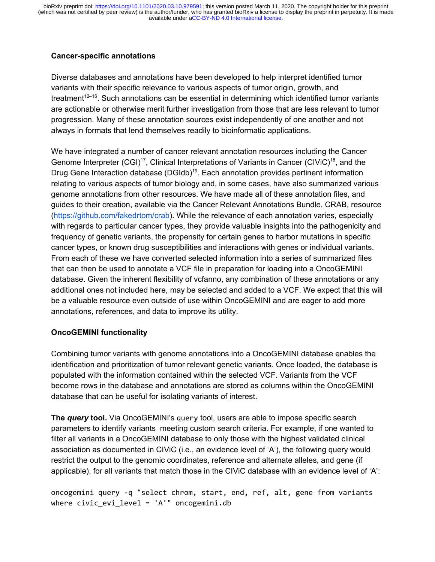### **Cancer-specific annotations**

Diverse databases and annotations have been developed to help interpret identified tumor variants with their specific relevance to various aspects of tumor origin, growth, and treatment<sup>[12–16](https://www.zotero.org/google-docs/?KPmnFR)</sup>. Such annotations can be essential in determining which identified tumor variants are actionable or otherwise merit further investigation from those that are less relevant to tumor progression. Many of these annotation sources exist independently of one another and not always in formats that lend themselves readily to bioinformatic applications.

We have integrated a number of cancer relevant annotation resources including the Cancer Genome Interpreter  $(GGI)^{17}$  $(GGI)^{17}$  $(GGI)^{17}$ , Clinical Interpretations of Variants in Cancer  $(GIViC)^{18}$  $(GIViC)^{18}$  $(GIViC)^{18}$ , and the Drug Gene Interaction database (DGIdb)<sup>[19](https://www.zotero.org/google-docs/?2fqwwP)</sup>. Each annotation provides pertinent information relating to various aspects of tumor biology and, in some cases, have also summarized various genome annotations from other resources. We have made all of these annotation files, and guides to their creation, available via the Cancer Relevant Annotations Bundle, CRAB, resource (<https://github.com/fakedrtom/crab>). While the relevance of each annotation varies, especially with regards to particular cancer types, they provide valuable insights into the pathogenicity and frequency of genetic variants, the propensity for certain genes to harbor mutations in specific cancer types, or known drug susceptibilities and interactions with genes or individual variants. From each of these we have converted selected information into a series of summarized files that can then be used to annotate a VCF file in preparation for loading into a OncoGEMINI database. Given the inherent flexibility of vcfanno, any combination of these annotations or any additional ones not included here, may be selected and added to a VCF. We expect that this will be a valuable resource even outside of use within OncoGEMINI and are eager to add more annotations, references, and data to improve its utility.

## **OncoGEMINI functionality**

Combining tumor variants with genome annotations into a OncoGEMINI database enables the identification and prioritization of tumor relevant genetic variants. Once loaded, the database is populated with the information contained within the selected VCF. Variants from the VCF become rows in the database and annotations are stored as columns within the OncoGEMINI database that can be useful for isolating variants of interest.

**The** *query* **tool.** Via OncoGEMINI's query tool, users are able to impose specific search parameters to identify variants meeting custom search criteria. For example, if one wanted to filter all variants in a OncoGEMINI database to only those with the highest validated clinical association as documented in CIViC (i.e., an evidence level of 'A'), the following query would restrict the output to the genomic coordinates, reference and alternate alleles, and gene (if applicable), for all variants that match those in the CIViC database with an evidence level of 'A':

oncogemini query -q "select chrom, start, end, ref, alt, gene from variants where civic\_evi\_level = 'A'" oncogemini.db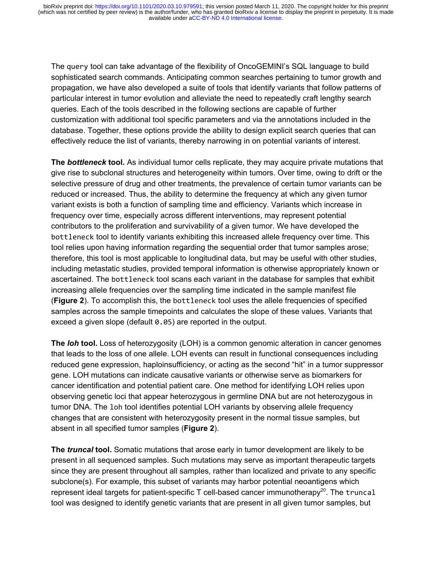The query tool can take advantage of the flexibility of OncoGEMINI's SQL language to build sophisticated search commands. Anticipating common searches pertaining to tumor growth and propagation, we have also developed a suite of tools that identify variants that follow patterns of particular interest in tumor evolution and alleviate the need to repeatedly craft lengthy search queries. Each of the tools described in the following sections are capable of further customization with additional tool specific parameters and via the annotations included in the database. Together, these options provide the ability to design explicit search queries that can effectively reduce the list of variants, thereby narrowing in on potential variants of interest.

**The** *bottleneck* **tool.** As individual tumor cells replicate, they may acquire private mutations that give rise to subclonal structures and heterogeneity within tumors. Over time, owing to drift or the selective pressure of drug and other treatments, the prevalence of certain tumor variants can be reduced or increased. Thus, the ability to determine the frequency at which any given tumor variant exists is both a function of sampling time and efficiency. Variants which increase in frequency over time, especially across different interventions, may represent potential contributors to the proliferation and survivability of a given tumor. We have developed the bottleneck tool to identify variants exhibiting this increased allele frequency over time. This tool relies upon having information regarding the sequential order that tumor samples arose; therefore, this tool is most applicable to longitudinal data, but may be useful with other studies, including metastatic studies, provided temporal information is otherwise appropriately known or ascertained. The bottleneck tool scans each variant in the database for samples that exhibit increasing allele frequencies over the sampling time indicated in the sample manifest file (**Figure 2**). To accomplish this, the bottleneck tool uses the allele frequencies of specified samples across the sample timepoints and calculates the slope of these values. Variants that exceed a given slope (default 0.05) are reported in the output.

**The** *loh* **tool.** Loss of heterozygosity (LOH) is a common genomic alteration in cancer genomes that leads to the loss of one allele. LOH events can result in functional consequences including reduced gene expression, haploinsufficiency, or acting as the second "hit" in a tumor suppressor gene. LOH mutations can indicate causative variants or otherwise serve as biomarkers for cancer identification and potential patient care. One method for identifying LOH relies upon observing genetic loci that appear heterozygous in germline DNA but are not heterozygous in tumor DNA. The loh tool identifies potential LOH variants by observing allele frequency changes that are consistent with heterozygosity present in the normal tissue samples, but absent in all specified tumor samples (**Figure 2**).

**The** *truncal* **tool.** Somatic mutations that arose early in tumor development are likely to be present in all sequenced samples. Such mutations may serve as important therapeutic targets since they are present throughout all samples, rather than localized and private to any specific subclone(s). For example, this subset of variants may harbor potential neoantigens which represent ideal targets for patient-specific  $T$  cell-based cancer immunotherapy<sup>[20](https://www.zotero.org/google-docs/?QTno3f)</sup>. The truncal tool was designed to identify genetic variants that are present in all given tumor samples, but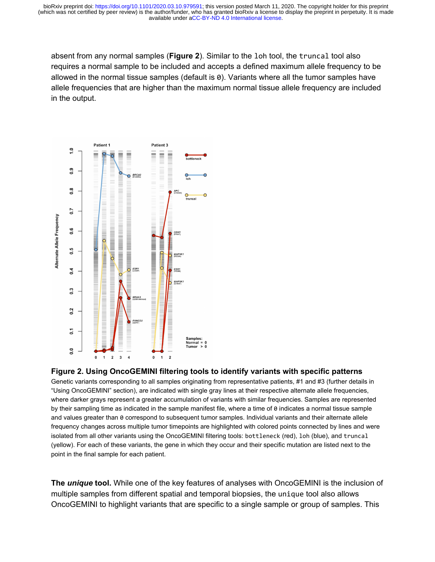absent from any normal samples (**Figure 2**). Similar to the loh tool, the truncal tool also requires a normal sample to be included and accepts a defined maximum allele frequency to be allowed in the normal tissue samples (default is 0). Variants where all the tumor samples have allele frequencies that are higher than the maximum normal tissue allele frequency are included in the output.



#### **Figure 2. Using OncoGEMINI filtering tools to identify variants with specific patterns**

Genetic variants corresponding to all samples originating from representative patients, #1 and #3 (further details in "Using OncoGEMINI" section), are indicated with single gray lines at their respective alternate allele frequencies, where darker grays represent a greater accumulation of variants with similar frequencies. Samples are represented by their sampling time as indicated in the sample manifest file, where a time of 0 indicates a normal tissue sample and values greater than 0 correspond to subsequent tumor samples. Individual variants and their alternate allele frequency changes across multiple tumor timepoints are highlighted with colored points connected by lines and were isolated from all other variants using the OncoGEMINI filtering tools: bottleneck (red), loh (blue), and truncal (yellow). For each of these variants, the gene in which they occur and their specific mutation are listed next to the point in the final sample for each patient.

**The** *unique* **tool.** While one of the key features of analyses with OncoGEMINI is the inclusion of multiple samples from different spatial and temporal biopsies, the unique tool also allows OncoGEMINI to highlight variants that are specific to a single sample or group of samples. This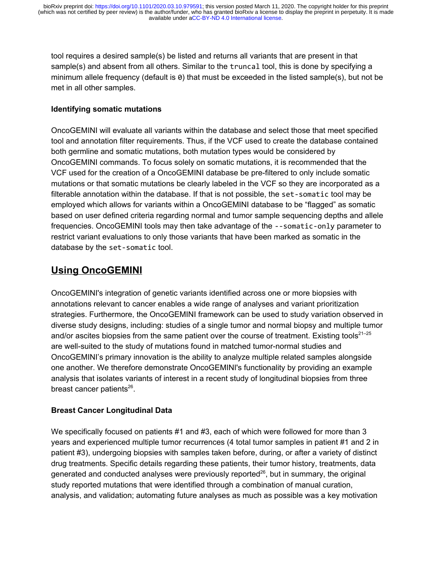tool requires a desired sample(s) be listed and returns all variants that are present in that sample(s) and absent from all others. Similar to the truncal tool, this is done by specifying a minimum allele frequency (default is  $\theta$ ) that must be exceeded in the listed sample(s), but not be met in all other samples.

### **Identifying somatic mutations**

OncoGEMINI will evaluate all variants within the database and select those that meet specified tool and annotation filter requirements. Thus, if the VCF used to create the database contained both germline and somatic mutations, both mutation types would be considered by OncoGEMINI commands. To focus solely on somatic mutations, it is recommended that the VCF used for the creation of a OncoGEMINI database be pre-filtered to only include somatic mutations or that somatic mutations be clearly labeled in the VCF so they are incorporated as a filterable annotation within the database. If that is not possible, the set-somatic tool may be employed which allows for variants within a OncoGEMINI database to be "flagged" as somatic based on user defined criteria regarding normal and tumor sample sequencing depths and allele frequencies. OncoGEMINI tools may then take advantage of the --somatic-only parameter to restrict variant evaluations to only those variants that have been marked as somatic in the database by the set-somatic tool.

# **Using OncoGEMINI**

OncoGEMINI's integration of genetic variants identified across one or more biopsies with annotations relevant to cancer enables a wide range of analyses and variant prioritization strategies. Furthermore, the OncoGEMINI framework can be used to study variation observed in diverse study designs, including: studies of a single tumor and normal biopsy and multiple tumor and/or ascites biopsies from the same patient over the course of treatment. Existing tools $^{21-25}$ are well-suited to the study of mutations found in matched tumor-normal studies and OncoGEMINI's primary innovation is the ability to analyze multiple related samples alongside one another. We therefore demonstrate OncoGEMINI's functionality by providing an example analysis that isolates variants of interest in a recent study of longitudinal biopsies from three breast cancer patients<sup>[26](https://www.zotero.org/google-docs/?1HBlbX)</sup>.

## **Breast Cancer Longitudinal Data**

We specifically focused on patients #1 and #3, each of which were followed for more than 3 years and experienced multiple tumor recurrences (4 total tumor samples in patient #1 and 2 in patient #3), undergoing biopsies with samples taken before, during, or after a variety of distinct drug treatments. Specific details regarding these patients, their tumor history, treatments, data generated and conducted analyses were previously reported $^{26}$  $^{26}$  $^{26}$ , but in summary, the original study reported mutations that were identified through a combination of manual curation, analysis, and validation; automating future analyses as much as possible was a key motivation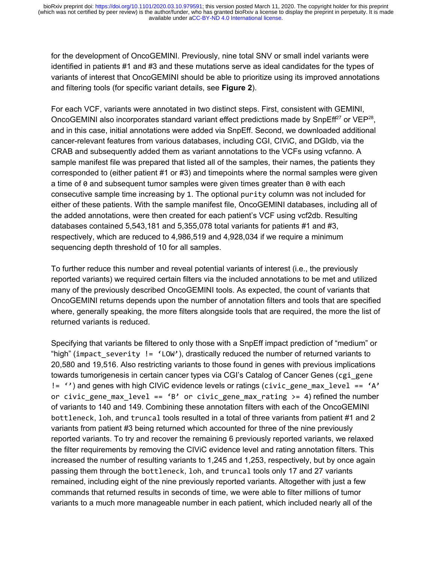for the development of OncoGEMINI. Previously, nine total SNV or small indel variants were identified in patients #1 and #3 and these mutations serve as ideal candidates for the types of variants of interest that OncoGEMINI should be able to prioritize using its improved annotations and filtering tools (for specific variant details, see **Figure 2**).

For each VCF, variants were annotated in two distinct steps. First, consistent with GEMINI, OncoGEMINI also incorporates standard variant effect predictions made by SnpEff<sup>[27](https://www.zotero.org/google-docs/?xis76h)</sup> or VEP<sup>[28](https://www.zotero.org/google-docs/?3wkjzR)</sup>, and in this case, initial annotations were added via SnpEff. Second, we downloaded additional cancer-relevant features from various databases, including CGI, CIViC, and DGIdb, via the CRAB and subsequently added them as variant annotations to the VCFs using vcfanno. A sample manifest file was prepared that listed all of the samples, their names, the patients they corresponded to (either patient #1 or #3) and timepoints where the normal samples were given a time of 0 and subsequent tumor samples were given times greater than 0 with each consecutive sample time increasing by 1. The optional purity column was not included for either of these patients. With the sample manifest file, OncoGEMINI databases, including all of the added annotations, were then created for each patient's VCF using vcf2db. Resulting databases contained 5,543,181 and 5,355,078 total variants for patients #1 and #3, respectively, which are reduced to 4,986,519 and 4,928,034 if we require a minimum sequencing depth threshold of 10 for all samples.

To further reduce this number and reveal potential variants of interest (i.e., the previously reported variants) we required certain filters via the included annotations to be met and utilized many of the previously described OncoGEMINI tools. As expected, the count of variants that OncoGEMINI returns depends upon the number of annotation filters and tools that are specified where, generally speaking, the more filters alongside tools that are required, the more the list of returned variants is reduced.

Specifying that variants be filtered to only those with a SnpEff impact prediction of "medium" or "high" (impact severity  $!=$  'LOW'), drastically reduced the number of returned variants to 20,580 and 19,516. Also restricting variants to those found in genes with previous implications towards tumorigenesis in certain cancer types via CGI's Catalog of Cancer Genes (cgi\_gene  $!=$   $\cdot$ ) and genes with high CIViC evidence levels or ratings (civic gene max level ==  $\cdot$ A' or civic gene max level == 'B' or civic gene max rating  $>= 4$ ) refined the number of variants to 140 and 149. Combining these annotation filters with each of the OncoGEMINI bottleneck, loh, and truncal tools resulted in a total of three variants from patient #1 and 2 variants from patient #3 being returned which accounted for three of the nine previously reported variants. To try and recover the remaining 6 previously reported variants, we relaxed the filter requirements by removing the CIViC evidence level and rating annotation filters. This increased the number of resulting variants to 1,245 and 1,253, respectively, but by once again passing them through the bottleneck, loh, and truncal tools only 17 and 27 variants remained, including eight of the nine previously reported variants. Altogether with just a few commands that returned results in seconds of time, we were able to filter millions of tumor variants to a much more manageable number in each patient, which included nearly all of the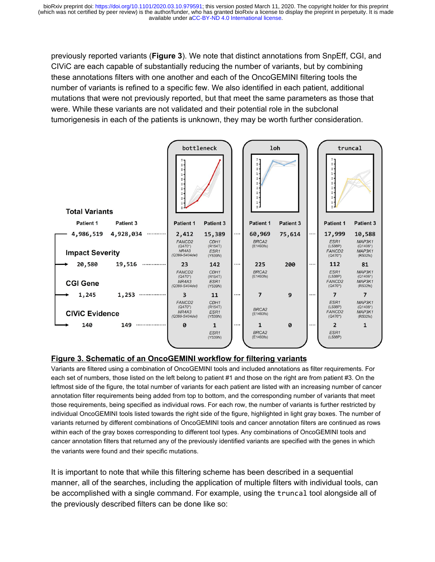previously reported variants (**Figure 3**). We note that distinct annotations from SnpEff, CGI, and CIViC are each capable of substantially reducing the number of variants, but by combining these annotations filters with one another and each of the OncoGEMINI filtering tools the number of variants is refined to a specific few. We also identified in each patient, additional mutations that were not previously reported, but that meet the same parameters as those that were. While these variants are not validated and their potential role in the subclonal tumorigenesis in each of the patients is unknown, they may be worth further consideration.



## **Figure 3. Schematic of an OncoGEMINI workflow for filtering variants**

Variants are filtered using a combination of OncoGEMINI tools and included annotations as filter requirements. For each set of numbers, those listed on the left belong to patient #1 and those on the right are from patient #3. On the leftmost side of the figure, the total number of variants for each patient are listed with an increasing number of cancer annotation filter requirements being added from top to bottom, and the corresponding number of variants that meet those requirements, being specified as individual rows. For each row, the number of variants is further restricted by individual OncoGEMINI tools listed towards the right side of the figure, highlighted in light gray boxes. The number of variants returned by different combinations of OncoGEMINI tools and cancer annotation filters are continued as rows within each of the gray boxes corresponding to different tool types. Any combinations of OncoGEMINI tools and cancer annotation filters that returned any of the previously identified variants are specified with the genes in which the variants were found and their specific mutations.

It is important to note that while this filtering scheme has been described in a sequential manner, all of the searches, including the application of multiple filters with individual tools, can be accomplished with a single command. For example, using the truncal tool alongside all of the previously described filters can be done like so: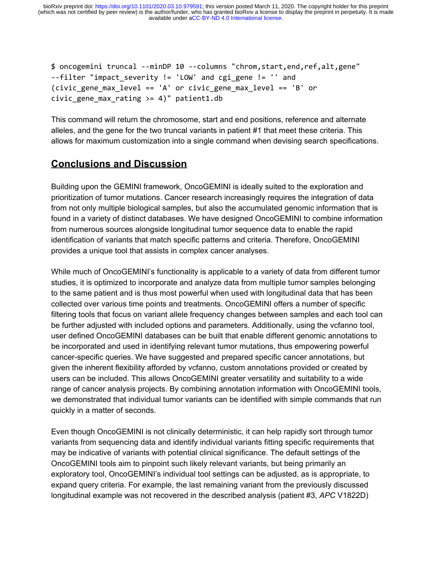available under [aCC-BY-ND 4.0 International license.](http://creativecommons.org/licenses/by-nd/4.0/) (which was not certified by peer review) is the author/funder, who has granted bioRxiv a license to display the preprint in perpetuity. It is made bioRxiv preprint doi: [https://doi.org/10.1101/2020.03.10.979591;](https://doi.org/10.1101/2020.03.10.979591) this version posted March 11, 2020. The copyright holder for this preprint

```
$ oncogemini truncal --minDP 10 --columns "chrom,start,end,ref,alt,gene"
--filter "impact_severity != 'LOW' and cgi_gene != '' and
(civic gene max level == 'A' or civic gene max level == 'B' or
civic gene max rating >= 4)" patient1.db
```
This command will return the chromosome, start and end positions, reference and alternate alleles, and the gene for the two truncal variants in patient #1 that meet these criteria. This allows for maximum customization into a single command when devising search specifications.

## **Conclusions and Discussion**

Building upon the GEMINI framework, OncoGEMINI is ideally suited to the exploration and prioritization of tumor mutations. Cancer research increasingly requires the integration of data from not only multiple biological samples, but also the accumulated genomic information that is found in a variety of distinct databases. We have designed OncoGEMINI to combine information from numerous sources alongside longitudinal tumor sequence data to enable the rapid identification of variants that match specific patterns and criteria. Therefore, OncoGEMINI provides a unique tool that assists in complex cancer analyses.

While much of OncoGEMINI's functionality is applicable to a variety of data from different tumor studies, it is optimized to incorporate and analyze data from multiple tumor samples belonging to the same patient and is thus most powerful when used with longitudinal data that has been collected over various time points and treatments. OncoGEMINI offers a number of specific filtering tools that focus on variant allele frequency changes between samples and each tool can be further adjusted with included options and parameters. Additionally, using the vcfanno tool, user defined OncoGEMINI databases can be built that enable different genomic annotations to be incorporated and used in identifying relevant tumor mutations, thus empowering powerful cancer-specific queries. We have suggested and prepared specific cancer annotations, but given the inherent flexibility afforded by vcfanno, custom annotations provided or created by users can be included. This allows OncoGEMINI greater versatility and suitability to a wide range of cancer analysis projects. By combining annotation information with OncoGEMINI tools, we demonstrated that individual tumor variants can be identified with simple commands that run quickly in a matter of seconds.

Even though OncoGEMINI is not clinically deterministic, it can help rapidly sort through tumor variants from sequencing data and identify individual variants fitting specific requirements that may be indicative of variants with potential clinical significance. The default settings of the OncoGEMINI tools aim to pinpoint such likely relevant variants, but being primarily an exploratory tool, OncoGEMINI's individual tool settings can be adjusted, as is appropriate, to expand query criteria. For example, the last remaining variant from the previously discussed longitudinal example was not recovered in the described analysis (patient #3, *APC* V1822D)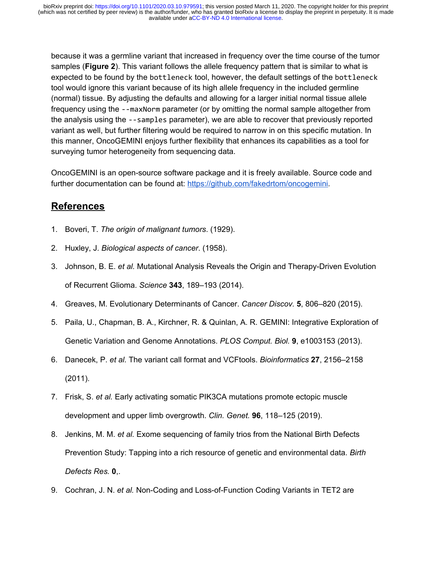because it was a germline variant that increased in frequency over the time course of the tumor samples (**Figure 2**). This variant follows the allele frequency pattern that is similar to what is expected to be found by the bottleneck tool, however, the default settings of the bottleneck tool would ignore this variant because of its high allele frequency in the included germline (normal) tissue. By adjusting the defaults and allowing for a larger initial normal tissue allele frequency using the --maxNorm parameter (or by omitting the normal sample altogether from the analysis using the --samples parameter), we are able to recover that previously reported variant as well, but further filtering would be required to narrow in on this specific mutation. In this manner, OncoGEMINI enjoys further flexibility that enhances its capabilities as a tool for surveying tumor heterogeneity from sequencing data.

OncoGEMINI is an open-source software package and it is freely available. Source code and further documentation can be found at: [https://github.com/fakedrtom/oncogemini.](https://github.com/fakedrtom/oncogemini)

## **References**

- [1.](https://www.zotero.org/google-docs/?MNnyHP) [Boveri, T.](https://www.zotero.org/google-docs/?MNnyHP) *[The origin of malignant tumors](https://www.zotero.org/google-docs/?MNnyHP)*[. \(1929\).](https://www.zotero.org/google-docs/?MNnyHP)
- [2.](https://www.zotero.org/google-docs/?MNnyHP) [Huxley, J.](https://www.zotero.org/google-docs/?MNnyHP) *[Biological aspects of cancer](https://www.zotero.org/google-docs/?MNnyHP)*[. \(1958\).](https://www.zotero.org/google-docs/?MNnyHP)
- [3.](https://www.zotero.org/google-docs/?MNnyHP) [Johnson, B. E.](https://www.zotero.org/google-docs/?MNnyHP) *[et al.](https://www.zotero.org/google-docs/?MNnyHP)* [Mutational Analysis Reveals the Origin and Therapy-Driven Evolution](https://www.zotero.org/google-docs/?MNnyHP) [of Recurrent Glioma.](https://www.zotero.org/google-docs/?MNnyHP) *[Science](https://www.zotero.org/google-docs/?MNnyHP)* **[343](https://www.zotero.org/google-docs/?MNnyHP)**[, 189–193 \(2014\).](https://www.zotero.org/google-docs/?MNnyHP)
- [4.](https://www.zotero.org/google-docs/?MNnyHP) [Greaves, M. Evolutionary Determinants of Cancer.](https://www.zotero.org/google-docs/?MNnyHP) *[Cancer Discov.](https://www.zotero.org/google-docs/?MNnyHP)* **[5](https://www.zotero.org/google-docs/?MNnyHP)**[, 806–820 \(2015\).](https://www.zotero.org/google-docs/?MNnyHP)
- [5.](https://www.zotero.org/google-docs/?MNnyHP) [Paila, U., Chapman, B. A., Kirchner, R. & Quinlan, A. R. GEMINI: Integrative Exploration of](https://www.zotero.org/google-docs/?MNnyHP) [Genetic Variation and Genome Annotations.](https://www.zotero.org/google-docs/?MNnyHP) *[PLOS Comput. Biol.](https://www.zotero.org/google-docs/?MNnyHP)* **[9](https://www.zotero.org/google-docs/?MNnyHP)**[, e1003153 \(2013\).](https://www.zotero.org/google-docs/?MNnyHP)
- [6.](https://www.zotero.org/google-docs/?MNnyHP) [Danecek, P.](https://www.zotero.org/google-docs/?MNnyHP) *[et al.](https://www.zotero.org/google-docs/?MNnyHP)* [The variant call format and VCFtools.](https://www.zotero.org/google-docs/?MNnyHP) *[Bioinformatics](https://www.zotero.org/google-docs/?MNnyHP)* **[27](https://www.zotero.org/google-docs/?MNnyHP)**[, 2156–2158](https://www.zotero.org/google-docs/?MNnyHP) [\(2011\).](https://www.zotero.org/google-docs/?MNnyHP)
- [7.](https://www.zotero.org/google-docs/?MNnyHP) [Frisk, S.](https://www.zotero.org/google-docs/?MNnyHP) *[et al.](https://www.zotero.org/google-docs/?MNnyHP)* [Early activating somatic PIK3CA mutations promote ectopic muscle](https://www.zotero.org/google-docs/?MNnyHP) [development and upper limb overgrowth.](https://www.zotero.org/google-docs/?MNnyHP) *[Clin. Genet.](https://www.zotero.org/google-docs/?MNnyHP)* **[96](https://www.zotero.org/google-docs/?MNnyHP)**[, 118–125 \(2019\).](https://www.zotero.org/google-docs/?MNnyHP)
- [8.](https://www.zotero.org/google-docs/?MNnyHP) [Jenkins, M. M.](https://www.zotero.org/google-docs/?MNnyHP) *[et al.](https://www.zotero.org/google-docs/?MNnyHP)* [Exome sequencing of family trios from the National Birth Defects](https://www.zotero.org/google-docs/?MNnyHP) [Prevention Study: Tapping into a rich resource of genetic and environmental data.](https://www.zotero.org/google-docs/?MNnyHP) *[Birth](https://www.zotero.org/google-docs/?MNnyHP) [Defects Res.](https://www.zotero.org/google-docs/?MNnyHP)* **[0](https://www.zotero.org/google-docs/?MNnyHP)**[,.](https://www.zotero.org/google-docs/?MNnyHP)
- [9.](https://www.zotero.org/google-docs/?MNnyHP) [Cochran, J. N.](https://www.zotero.org/google-docs/?MNnyHP) *[et al.](https://www.zotero.org/google-docs/?MNnyHP)* [Non-Coding and Loss-of-Function Coding Variants in TET2 are](https://www.zotero.org/google-docs/?MNnyHP)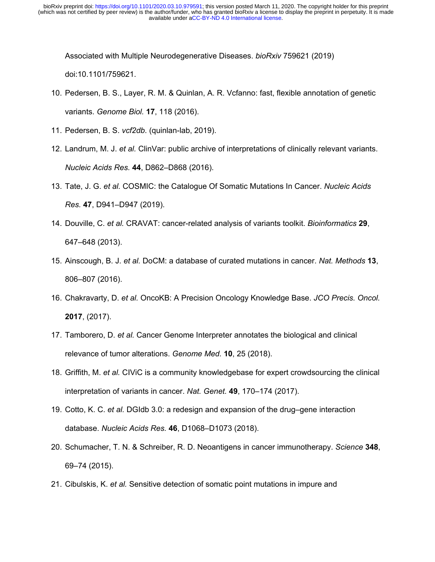[Associated with Multiple Neurodegenerative Diseases.](https://www.zotero.org/google-docs/?MNnyHP) *[bioRxiv](https://www.zotero.org/google-docs/?MNnyHP)* [759621 \(2019\)](https://www.zotero.org/google-docs/?MNnyHP) [doi:10.1101/759621.](https://www.zotero.org/google-docs/?MNnyHP)

- [10.](https://www.zotero.org/google-docs/?MNnyHP) [Pedersen, B. S., Layer, R. M. & Quinlan, A. R. Vcfanno: fast, flexible annotation of genetic](https://www.zotero.org/google-docs/?MNnyHP) [variants.](https://www.zotero.org/google-docs/?MNnyHP) *[Genome Biol.](https://www.zotero.org/google-docs/?MNnyHP)* **[17](https://www.zotero.org/google-docs/?MNnyHP)**[, 118 \(2016\).](https://www.zotero.org/google-docs/?MNnyHP)
- [11.](https://www.zotero.org/google-docs/?MNnyHP) [Pedersen, B. S.](https://www.zotero.org/google-docs/?MNnyHP) *[vcf2db](https://www.zotero.org/google-docs/?MNnyHP)*[. \(quinlan-lab, 2019\).](https://www.zotero.org/google-docs/?MNnyHP)
- [12.](https://www.zotero.org/google-docs/?MNnyHP) [Landrum, M. J.](https://www.zotero.org/google-docs/?MNnyHP) *[et al.](https://www.zotero.org/google-docs/?MNnyHP)* [ClinVar: public archive of interpretations of clinically relevant variants.](https://www.zotero.org/google-docs/?MNnyHP) *[Nucleic Acids Res.](https://www.zotero.org/google-docs/?MNnyHP)* **[44](https://www.zotero.org/google-docs/?MNnyHP)**[, D862–D868 \(2016\).](https://www.zotero.org/google-docs/?MNnyHP)
- [13.](https://www.zotero.org/google-docs/?MNnyHP) [Tate, J. G.](https://www.zotero.org/google-docs/?MNnyHP) *[et al.](https://www.zotero.org/google-docs/?MNnyHP)* [COSMIC: the Catalogue Of Somatic Mutations In Cancer.](https://www.zotero.org/google-docs/?MNnyHP) *[Nucleic Acids](https://www.zotero.org/google-docs/?MNnyHP) [Res.](https://www.zotero.org/google-docs/?MNnyHP)* **[47](https://www.zotero.org/google-docs/?MNnyHP)**[, D941–D947 \(2019\).](https://www.zotero.org/google-docs/?MNnyHP)
- [14.](https://www.zotero.org/google-docs/?MNnyHP) [Douville, C.](https://www.zotero.org/google-docs/?MNnyHP) *[et al.](https://www.zotero.org/google-docs/?MNnyHP)* [CRAVAT: cancer-related analysis of variants toolkit.](https://www.zotero.org/google-docs/?MNnyHP) *[Bioinformatics](https://www.zotero.org/google-docs/?MNnyHP)* **[29](https://www.zotero.org/google-docs/?MNnyHP)**[,](https://www.zotero.org/google-docs/?MNnyHP) [647–648 \(2013\).](https://www.zotero.org/google-docs/?MNnyHP)
- [15.](https://www.zotero.org/google-docs/?MNnyHP) [Ainscough, B. J.](https://www.zotero.org/google-docs/?MNnyHP) *[et al.](https://www.zotero.org/google-docs/?MNnyHP)* [DoCM: a database of curated mutations in cancer.](https://www.zotero.org/google-docs/?MNnyHP) *[Nat. Methods](https://www.zotero.org/google-docs/?MNnyHP)* **[13](https://www.zotero.org/google-docs/?MNnyHP)**[,](https://www.zotero.org/google-docs/?MNnyHP) [806–807 \(2016\).](https://www.zotero.org/google-docs/?MNnyHP)
- [16.](https://www.zotero.org/google-docs/?MNnyHP) [Chakravarty, D.](https://www.zotero.org/google-docs/?MNnyHP) *[et al.](https://www.zotero.org/google-docs/?MNnyHP)* [OncoKB: A Precision Oncology Knowledge Base.](https://www.zotero.org/google-docs/?MNnyHP) *[JCO Precis. Oncol.](https://www.zotero.org/google-docs/?MNnyHP)* **[2017](https://www.zotero.org/google-docs/?MNnyHP)**[, \(2017\).](https://www.zotero.org/google-docs/?MNnyHP)
- [17.](https://www.zotero.org/google-docs/?MNnyHP) [Tamborero, D.](https://www.zotero.org/google-docs/?MNnyHP) *[et al.](https://www.zotero.org/google-docs/?MNnyHP)* [Cancer Genome Interpreter annotates the biological and clinical](https://www.zotero.org/google-docs/?MNnyHP) [relevance of tumor alterations.](https://www.zotero.org/google-docs/?MNnyHP) *[Genome Med.](https://www.zotero.org/google-docs/?MNnyHP)* **[10](https://www.zotero.org/google-docs/?MNnyHP)**[, 25 \(2018\).](https://www.zotero.org/google-docs/?MNnyHP)
- [18.](https://www.zotero.org/google-docs/?MNnyHP) [Griffith, M.](https://www.zotero.org/google-docs/?MNnyHP) *[et al.](https://www.zotero.org/google-docs/?MNnyHP)* [CIViC is a community knowledgebase for expert crowdsourcing the clinical](https://www.zotero.org/google-docs/?MNnyHP) [interpretation of variants in cancer.](https://www.zotero.org/google-docs/?MNnyHP) *[Nat. Genet.](https://www.zotero.org/google-docs/?MNnyHP)* **[49](https://www.zotero.org/google-docs/?MNnyHP)**[, 170–174 \(2017\).](https://www.zotero.org/google-docs/?MNnyHP)
- [19.](https://www.zotero.org/google-docs/?MNnyHP) [Cotto, K. C.](https://www.zotero.org/google-docs/?MNnyHP) *[et al.](https://www.zotero.org/google-docs/?MNnyHP)* [DGIdb 3.0: a redesign and expansion of the drug–gene interaction](https://www.zotero.org/google-docs/?MNnyHP) [database.](https://www.zotero.org/google-docs/?MNnyHP) *[Nucleic Acids Res.](https://www.zotero.org/google-docs/?MNnyHP)* **[46](https://www.zotero.org/google-docs/?MNnyHP)**[, D1068–D1073 \(2018\).](https://www.zotero.org/google-docs/?MNnyHP)
- [20.](https://www.zotero.org/google-docs/?MNnyHP) [Schumacher, T. N. & Schreiber, R. D. Neoantigens in cancer immunotherapy.](https://www.zotero.org/google-docs/?MNnyHP) *[Science](https://www.zotero.org/google-docs/?MNnyHP)* **[348](https://www.zotero.org/google-docs/?MNnyHP)**[,](https://www.zotero.org/google-docs/?MNnyHP) [69–74 \(2015\).](https://www.zotero.org/google-docs/?MNnyHP)
- [21.](https://www.zotero.org/google-docs/?MNnyHP) [Cibulskis, K.](https://www.zotero.org/google-docs/?MNnyHP) *[et al.](https://www.zotero.org/google-docs/?MNnyHP)* [Sensitive detection of somatic point mutations in impure and](https://www.zotero.org/google-docs/?MNnyHP)